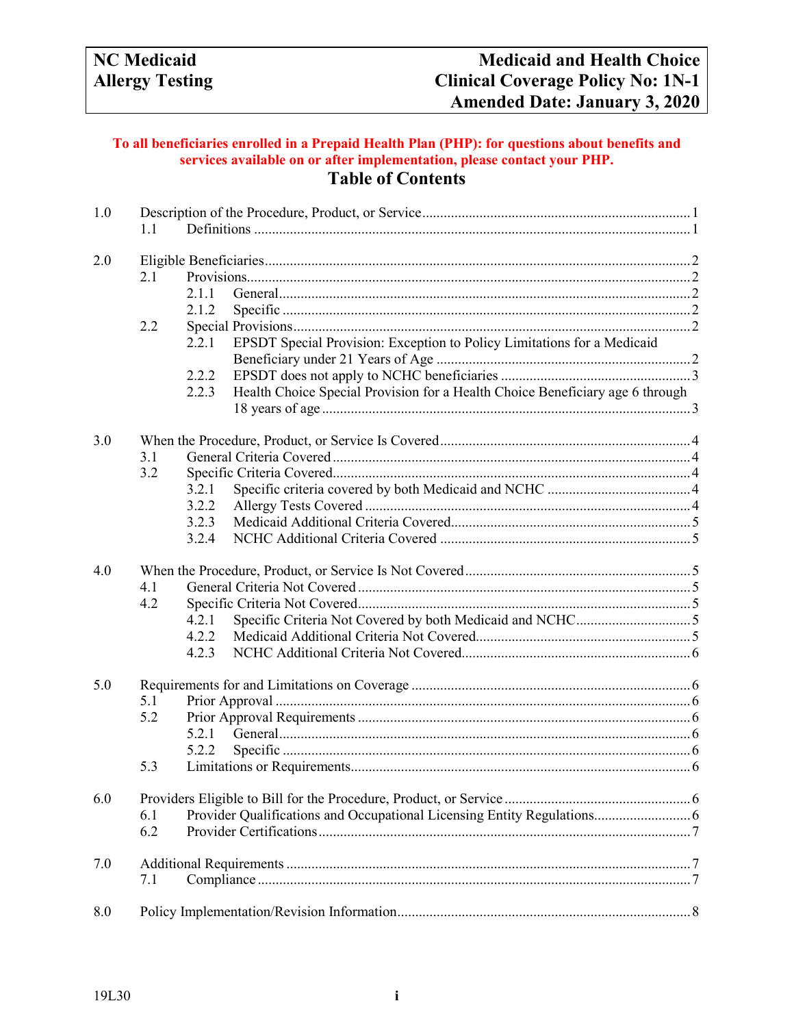## **To all beneficiaries enrolled in a Prepaid Health Plan (PHP): for questions about benefits and services available on or after implementation, please contact your PHP. Table of Contents**

| 1.0 | 1.1 |                                                                                        |  |  |  |
|-----|-----|----------------------------------------------------------------------------------------|--|--|--|
| 2.0 |     |                                                                                        |  |  |  |
|     | 2.1 |                                                                                        |  |  |  |
|     |     | 2.1.1                                                                                  |  |  |  |
|     |     | 2.1.2                                                                                  |  |  |  |
|     | 2.2 |                                                                                        |  |  |  |
|     |     | EPSDT Special Provision: Exception to Policy Limitations for a Medicaid<br>2.2.1       |  |  |  |
|     |     |                                                                                        |  |  |  |
|     |     | 2.2.2                                                                                  |  |  |  |
|     |     | Health Choice Special Provision for a Health Choice Beneficiary age 6 through<br>2.2.3 |  |  |  |
|     |     |                                                                                        |  |  |  |
| 3.0 |     |                                                                                        |  |  |  |
|     | 3.1 |                                                                                        |  |  |  |
|     | 3.2 |                                                                                        |  |  |  |
|     |     | 3.2.1                                                                                  |  |  |  |
|     |     | 3.2.2                                                                                  |  |  |  |
|     |     | 3.2.3                                                                                  |  |  |  |
|     |     | 3.2.4                                                                                  |  |  |  |
|     |     |                                                                                        |  |  |  |
| 4.0 |     |                                                                                        |  |  |  |
|     | 4.1 |                                                                                        |  |  |  |
|     | 4.2 |                                                                                        |  |  |  |
|     |     | 4.2.1                                                                                  |  |  |  |
|     |     | 4.2.2                                                                                  |  |  |  |
|     |     | 4.2.3                                                                                  |  |  |  |
| 5.0 |     |                                                                                        |  |  |  |
|     | 5.1 |                                                                                        |  |  |  |
|     | 5.2 |                                                                                        |  |  |  |
|     |     | 5.2.1                                                                                  |  |  |  |
|     |     | 5.2.2                                                                                  |  |  |  |
|     | 5.3 |                                                                                        |  |  |  |
| 6.0 |     |                                                                                        |  |  |  |
|     | 6.1 | Provider Qualifications and Occupational Licensing Entity Regulations 6                |  |  |  |
|     | 6.2 |                                                                                        |  |  |  |
| 7.0 |     |                                                                                        |  |  |  |
|     | 7.1 |                                                                                        |  |  |  |
| 8.0 |     |                                                                                        |  |  |  |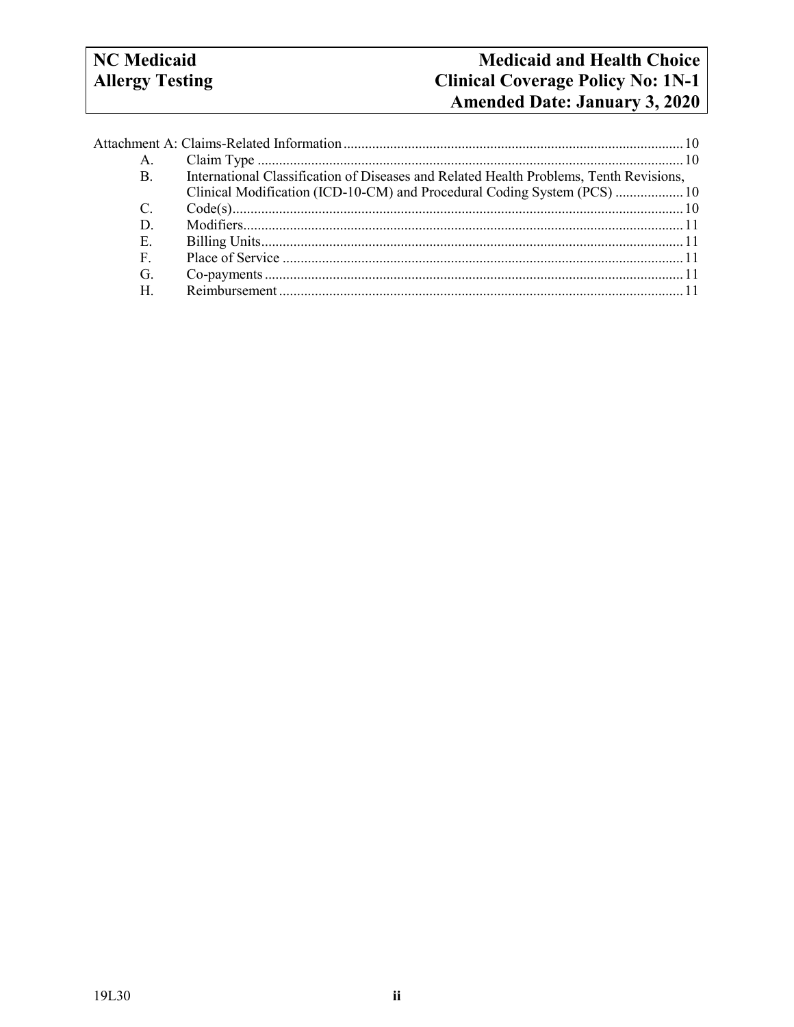# **NC** Medicaid **Allergy Testing**

| A.                    |                                                                                        |
|-----------------------|----------------------------------------------------------------------------------------|
| B.                    | International Classification of Diseases and Related Health Problems, Tenth Revisions, |
|                       | Clinical Modification (ICD-10-CM) and Procedural Coding System (PCS)  10               |
| $\mathcal{C}_{\cdot}$ |                                                                                        |
| D.                    |                                                                                        |
| Е.                    |                                                                                        |
| F.                    |                                                                                        |
| G.                    |                                                                                        |
| Н.                    |                                                                                        |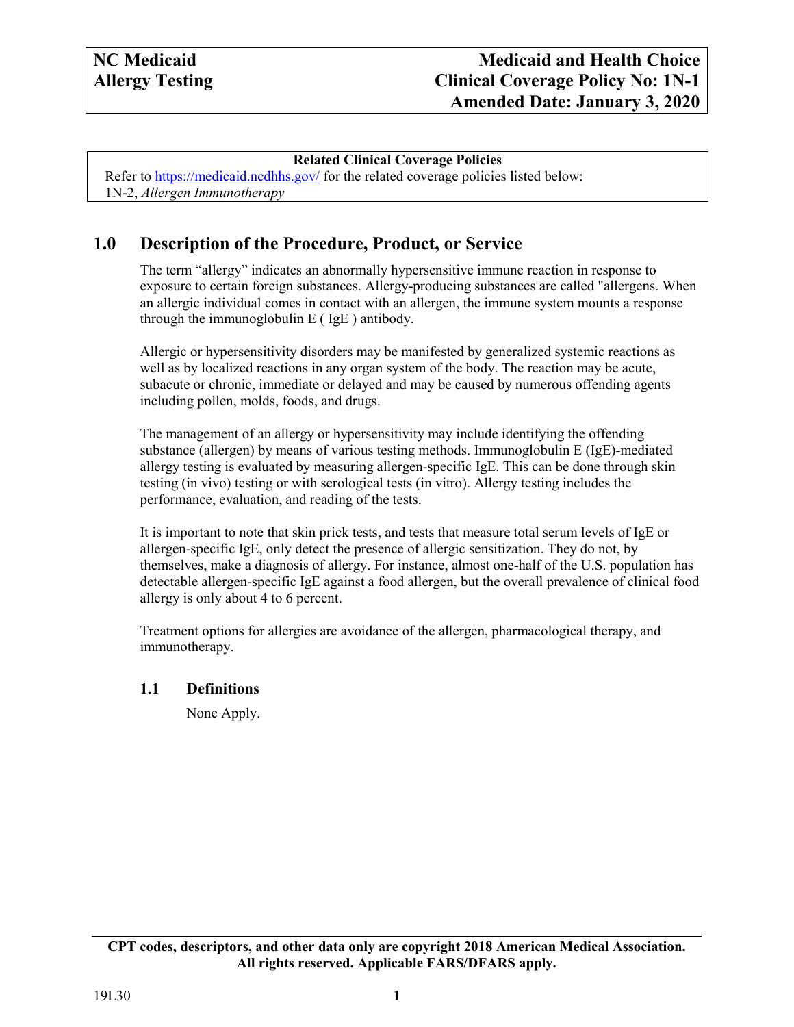#### **Related Clinical Coverage Policies**

Refer to<https://medicaid.ncdhhs.gov/> for the related coverage policies listed below: 1N-2, *Allergen Immunotherapy*

# <span id="page-2-0"></span>**1.0 Description of the Procedure, Product, or Service**

The term "allergy" indicates an abnormally hypersensitive immune reaction in response to exposure to certain foreign substances. Allergy-producing substances are called "allergens. When an allergic individual comes in contact with an allergen, the immune system mounts a response through the immunoglobulin  $E$  ( IgE ) antibody.

Allergic or hypersensitivity disorders may be manifested by generalized systemic reactions as well as by localized reactions in any organ system of the body. The reaction may be acute, subacute or chronic, immediate or delayed and may be caused by numerous offending agents including pollen, molds, foods, and drugs.

The management of an allergy or hypersensitivity may include identifying the offending substance (allergen) by means of various testing methods. Immunoglobulin E (IgE)-mediated allergy testing is evaluated by measuring allergen-specific IgE. This can be done through skin testing (in vivo) testing or with serological tests (in vitro). Allergy testing includes the performance, evaluation, and reading of the tests.

It is important to note that skin prick tests, and tests that measure total serum levels of IgE or allergen-specific IgE, only detect the presence of allergic sensitization. They do not, by themselves, make a diagnosis of allergy. For instance, almost one-half of the U.S. population has detectable allergen-specific IgE against a food allergen, but the overall prevalence of clinical food allergy is only about 4 to 6 percent.

Treatment options for allergies are avoidance of the allergen, pharmacological therapy, and immunotherapy.

#### <span id="page-2-1"></span>**1.1 Definitions**

None Apply.

**CPT codes, descriptors, and other data only are copyright 2018 American Medical Association. All rights reserved. Applicable FARS/DFARS apply.**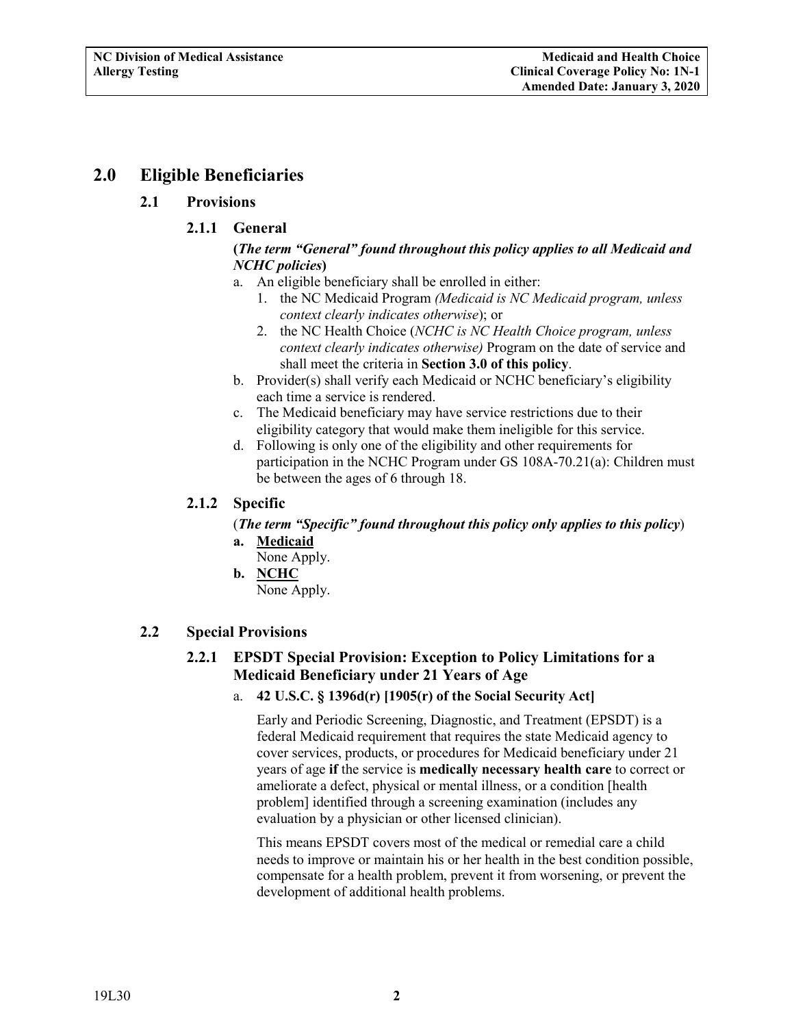# <span id="page-3-2"></span><span id="page-3-1"></span><span id="page-3-0"></span>**2.0 Eligible Beneficiaries**

## **2.1 Provisions**

# **2.1.1 General**

## **(***The term "General" found throughout this policy applies to all Medicaid and NCHC policies***)**

- a. An eligible beneficiary shall be enrolled in either:
	- 1. the NC Medicaid Program *(Medicaid is NC Medicaid program, unless context clearly indicates otherwise*); or
	- 2. the NC Health Choice (*NCHC is NC Health Choice program, unless context clearly indicates otherwise)* Program on the date of service and shall meet the criteria in **Section 3.0 of this policy**.
- b. Provider(s) shall verify each Medicaid or NCHC beneficiary's eligibility each time a service is rendered.
- c. The Medicaid beneficiary may have service restrictions due to their eligibility category that would make them ineligible for this service.
- d. Following is only one of the eligibility and other requirements for participation in the NCHC Program under GS 108A-70.21(a): Children must be between the ages of 6 through 18.

## <span id="page-3-3"></span>**2.1.2 Specific**

(*The term "Specific" found throughout this policy only applies to this policy*) **a. Medicaid**

- None Apply.
- **b. NCHC**

None Apply.

## <span id="page-3-5"></span><span id="page-3-4"></span>**2.2 Special Provisions**

# **2.2.1 EPSDT Special Provision: Exception to Policy Limitations for a Medicaid Beneficiary under 21 Years of Age**

## a. **42 U.S.C. § 1396d(r) [1905(r) of the Social Security Act]**

Early and Periodic Screening, Diagnostic, and Treatment (EPSDT) is a federal Medicaid requirement that requires the state Medicaid agency to cover services, products, or procedures for Medicaid beneficiary under 21 years of age **if** the service is **medically necessary health care** to correct or ameliorate a defect, physical or mental illness, or a condition [health problem] identified through a screening examination (includes any evaluation by a physician or other licensed clinician).

This means EPSDT covers most of the medical or remedial care a child needs to improve or maintain his or her health in the best condition possible, compensate for a health problem, prevent it from worsening, or prevent the development of additional health problems.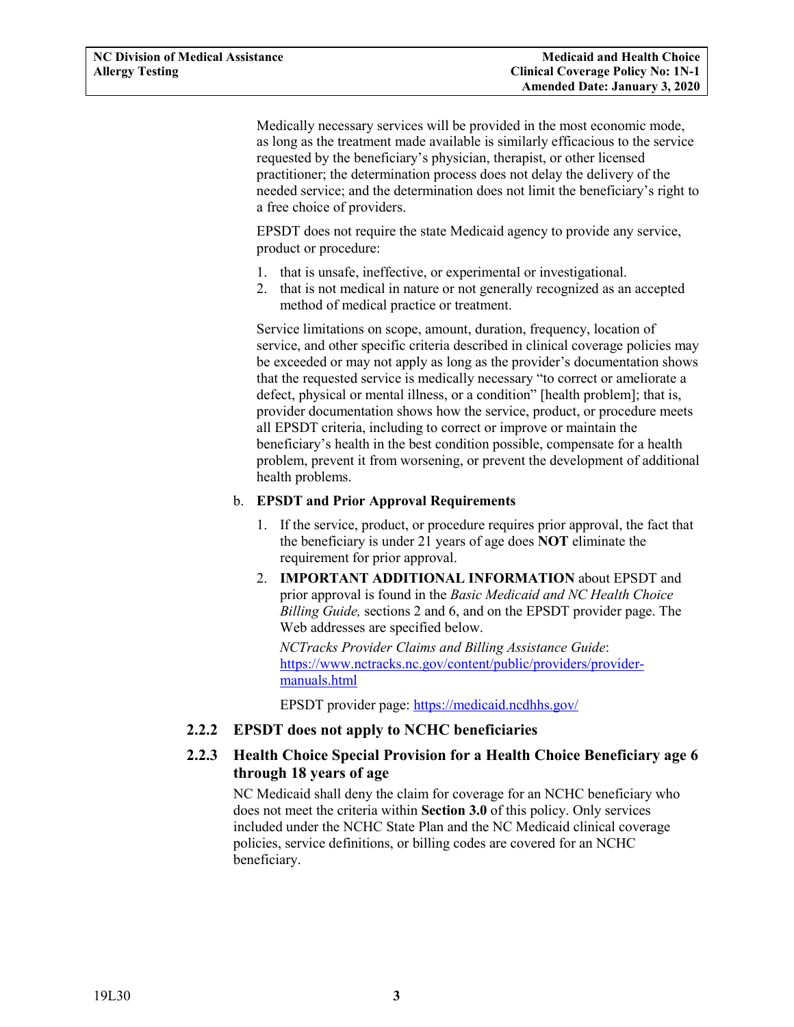<span id="page-4-2"></span>Medically necessary services will be provided in the most economic mode, as long as the treatment made available is similarly efficacious to the service requested by the beneficiary's physician, therapist, or other licensed practitioner; the determination process does not delay the delivery of the needed service; and the determination does not limit the beneficiary's right to a free choice of providers.

EPSDT does not require the state Medicaid agency to provide any service, product or procedure:

- 1. that is unsafe, ineffective, or experimental or investigational.
- 2. that is not medical in nature or not generally recognized as an accepted method of medical practice or treatment.

Service limitations on scope, amount, duration, frequency, location of service, and other specific criteria described in clinical coverage policies may be exceeded or may not apply as long as the provider's documentation shows that the requested service is medically necessary "to correct or ameliorate a defect, physical or mental illness, or a condition" [health problem]; that is, provider documentation shows how the service, product, or procedure meets all EPSDT criteria, including to correct or improve or maintain the beneficiary's health in the best condition possible, compensate for a health problem, prevent it from worsening, or prevent the development of additional health problems.

#### b. **EPSDT and Prior Approval Requirements**

- 1. If the service, product, or procedure requires prior approval, the fact that the beneficiary is under 21 years of age does **NOT** eliminate the requirement for prior approval.
- 2. **IMPORTANT ADDITIONAL INFORMATION** about EPSDT and prior approval is found in the *Basic Medicaid and NC Health Choice Billing Guide,* sections 2 and 6, and on the EPSDT provider page. The Web addresses are specified below.

*NCTracks Provider Claims and Billing Assistance Guide*: [https://www.nctracks.nc.gov/content/public/providers/provider](https://www.nctracks.nc.gov/content/public/providers/provider-manuals.html)[manuals.html](https://www.nctracks.nc.gov/content/public/providers/provider-manuals.html)

EPSDT provider page: <https://medicaid.ncdhhs.gov/>

## <span id="page-4-0"></span>**2.2.2 EPSDT does not apply to NCHC beneficiaries**

## <span id="page-4-1"></span>**2.2.3 Health Choice Special Provision for a Health Choice Beneficiary age 6 through 18 years of age**

NC Medicaid shall deny the claim for coverage for an NCHC beneficiary who does not meet the criteria within **Section 3.0** of this policy. Only services included under the NCHC State Plan and the NC Medicaid clinical coverage policies, service definitions, or billing codes are covered for an NCHC beneficiary.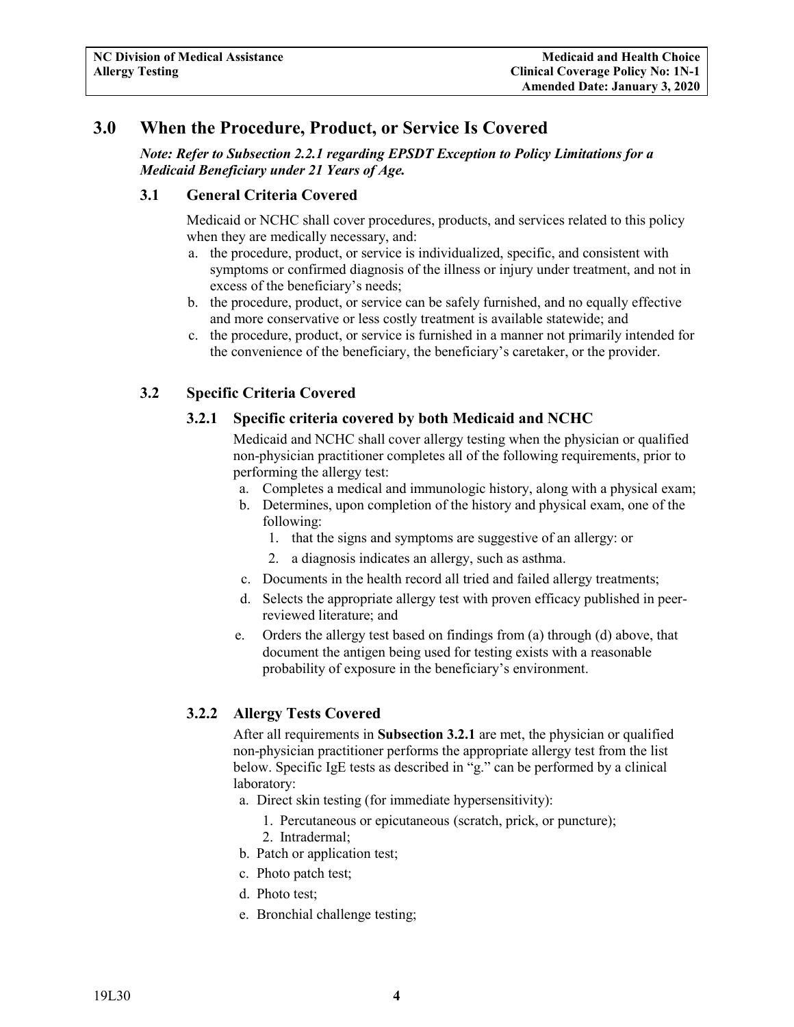# **3.0 When the Procedure, Product, or Service Is Covered**

*Note: Refer to Subsection 2.2.1 regarding EPSDT Exception to Policy Limitations for a Medicaid Beneficiary under 21 Years of Age.*

## <span id="page-5-0"></span>**3.1 General Criteria Covered**

Medicaid or NCHC shall cover procedures, products, and services related to this policy when they are medically necessary, and:

- a. the procedure, product, or service is individualized, specific, and consistent with symptoms or confirmed diagnosis of the illness or injury under treatment, and not in excess of the beneficiary's needs;
- b. the procedure, product, or service can be safely furnished, and no equally effective and more conservative or less costly treatment is available statewide; and
- c. the procedure, product, or service is furnished in a manner not primarily intended for the convenience of the beneficiary, the beneficiary's caretaker, or the provider.

## <span id="page-5-2"></span><span id="page-5-1"></span>**3.2 Specific Criteria Covered**

## **3.2.1 Specific criteria covered by both Medicaid and NCHC**

Medicaid and NCHC shall cover allergy testing when the physician or qualified non-physician practitioner completes all of the following requirements, prior to performing the allergy test:

- a. Completes a medical and immunologic history, along with a physical exam;
- b. Determines, upon completion of the history and physical exam, one of the following:
	- 1. that the signs and symptoms are suggestive of an allergy: or
	- 2. a diagnosis indicates an allergy, such as asthma.
- c. Documents in the health record all tried and failed allergy treatments;
- d. Selects the appropriate allergy test with proven efficacy published in peerreviewed literature; and
- e. Orders the allergy test based on findings from (a) through (d) above, that document the antigen being used for testing exists with a reasonable probability of exposure in the beneficiary's environment.

## <span id="page-5-3"></span>**3.2.2 Allergy Tests Covered**

After all requirements in **Subsection 3.2.1** are met, the physician or qualified non-physician practitioner performs the appropriate allergy test from the list below. Specific IgE tests as described in "g." can be performed by a clinical laboratory:

- a. Direct skin testing (for immediate hypersensitivity):
	- 1. Percutaneous or epicutaneous (scratch, prick, or puncture);
	- 2. Intradermal;
- b. Patch or application test;
- c. Photo patch test;
- d. Photo test;
- e. Bronchial challenge testing;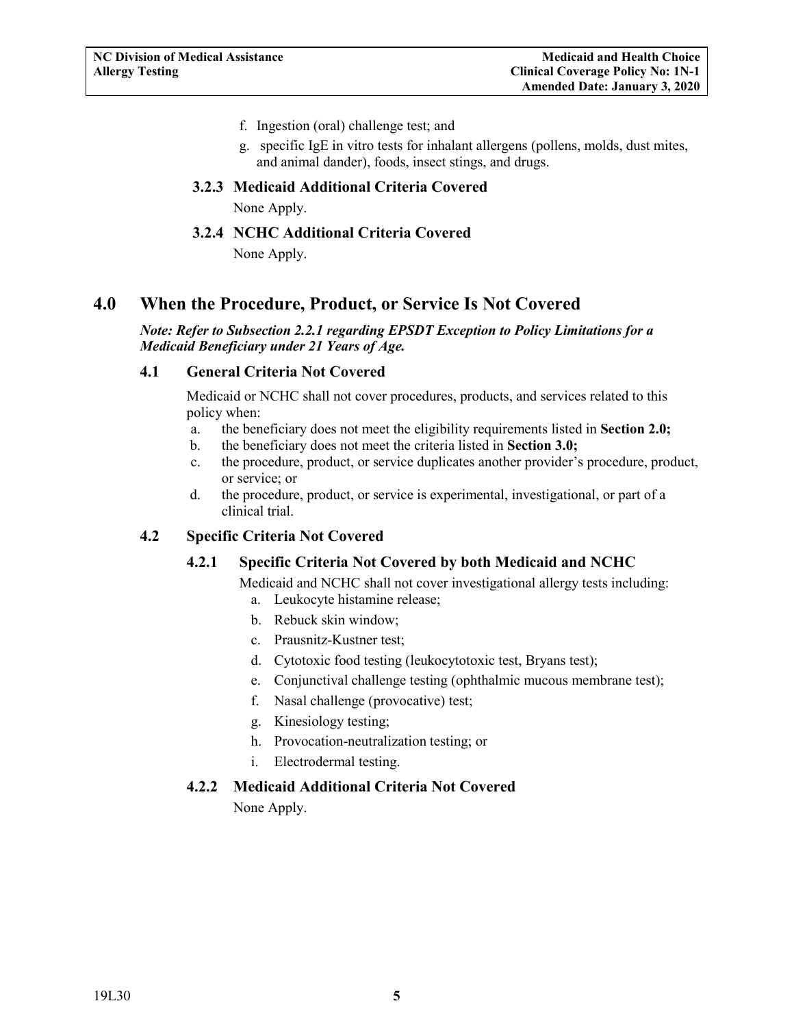- f. Ingestion (oral) challenge test; and
- g. specific IgE in vitro tests for inhalant allergens (pollens, molds, dust mites, and animal dander), foods, insect stings, and drugs.

#### <span id="page-6-0"></span>**3.2.3 Medicaid Additional Criteria Covered**

None Apply.

## **3.2.4 NCHC Additional Criteria Covered**

None Apply.

# <span id="page-6-2"></span><span id="page-6-1"></span>**4.0 When the Procedure, Product, or Service Is Not Covered**

#### *Note: Refer to Subsection 2.2.1 regarding EPSDT Exception to Policy Limitations for a Medicaid Beneficiary under 21 Years of Age.*

## <span id="page-6-3"></span>**4.1 General Criteria Not Covered**

Medicaid or NCHC shall not cover procedures, products, and services related to this policy when:

- a. the beneficiary does not meet the eligibility requirements listed in **Section 2.0;**
- b. the beneficiary does not meet the criteria listed in **Section 3.0;**
- c. the procedure, product, or service duplicates another provider's procedure, product, or service; or
- d. the procedure, product, or service is experimental, investigational, or part of a clinical trial.

## <span id="page-6-5"></span><span id="page-6-4"></span>**4.2 Specific Criteria Not Covered**

## **4.2.1 Specific Criteria Not Covered by both Medicaid and NCHC**

Medicaid and NCHC shall not cover investigational allergy tests including:

- a. Leukocyte histamine release;
- b. Rebuck skin window;
- c. Prausnitz-Kustner test;
- d. Cytotoxic food testing (leukocytotoxic test, Bryans test);
- e. Conjunctival challenge testing (ophthalmic mucous membrane test);
- f. Nasal challenge (provocative) test;
- g. Kinesiology testing;
- h. Provocation-neutralization testing; or
- i. Electrodermal testing.

## <span id="page-6-6"></span>**4.2.2 Medicaid Additional Criteria Not Covered**

None Apply.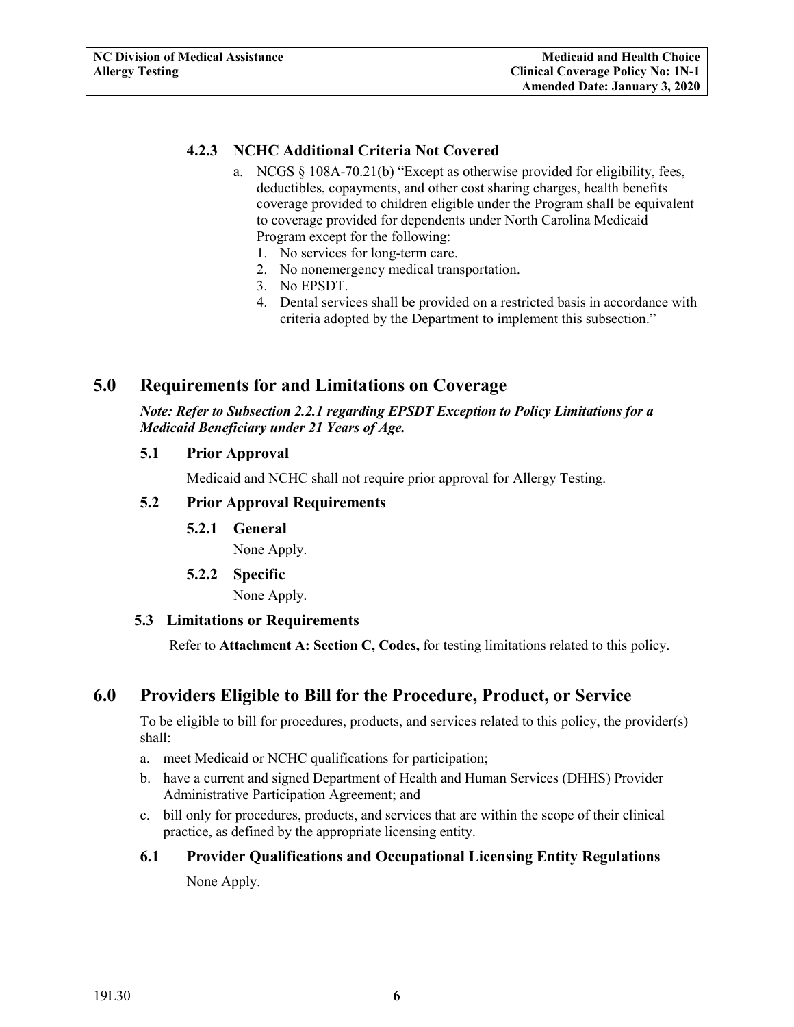## <span id="page-7-9"></span><span id="page-7-0"></span>**4.2.3 NCHC Additional Criteria Not Covered**

- a. NCGS § 108A-70.21(b) "Except as otherwise provided for eligibility, fees, deductibles, copayments, and other cost sharing charges, health benefits coverage provided to children eligible under the Program shall be equivalent to coverage provided for dependents under North Carolina Medicaid Program except for the following:
	- 1. No services for long-term care.
	- 2. No nonemergency medical transportation.
	- 3. No EPSDT.
	- 4. Dental services shall be provided on a restricted basis in accordance with criteria adopted by the Department to implement this subsection."

# <span id="page-7-1"></span>**5.0 Requirements for and Limitations on Coverage**

*Note: Refer to Subsection 2.2.1 regarding EPSDT Exception to Policy Limitations for a Medicaid Beneficiary under 21 Years of Age.*

#### <span id="page-7-2"></span>**5.1 Prior Approval**

Medicaid and NCHC shall not require prior approval for Allergy Testing.

## <span id="page-7-4"></span><span id="page-7-3"></span>**5.2 Prior Approval Requirements**

**5.2.1 General**

None Apply.

**5.2.2 Specific**

None Apply.

## <span id="page-7-6"></span><span id="page-7-5"></span>**5.3 Limitations or Requirements**

Refer to **Attachment A: Section C, Codes,** for testing limitations related to this policy.

# <span id="page-7-7"></span>**6.0 Providers Eligible to Bill for the Procedure, Product, or Service**

To be eligible to bill for procedures, products, and services related to this policy, the provider(s) shall:

- a. meet Medicaid or NCHC qualifications for participation;
- b. have a current and signed Department of Health and Human Services (DHHS) Provider Administrative Participation Agreement; and
- c. bill only for procedures, products, and services that are within the scope of their clinical practice, as defined by the appropriate licensing entity.

# <span id="page-7-8"></span>**6.1 Provider Qualifications and Occupational Licensing Entity Regulations** None Apply.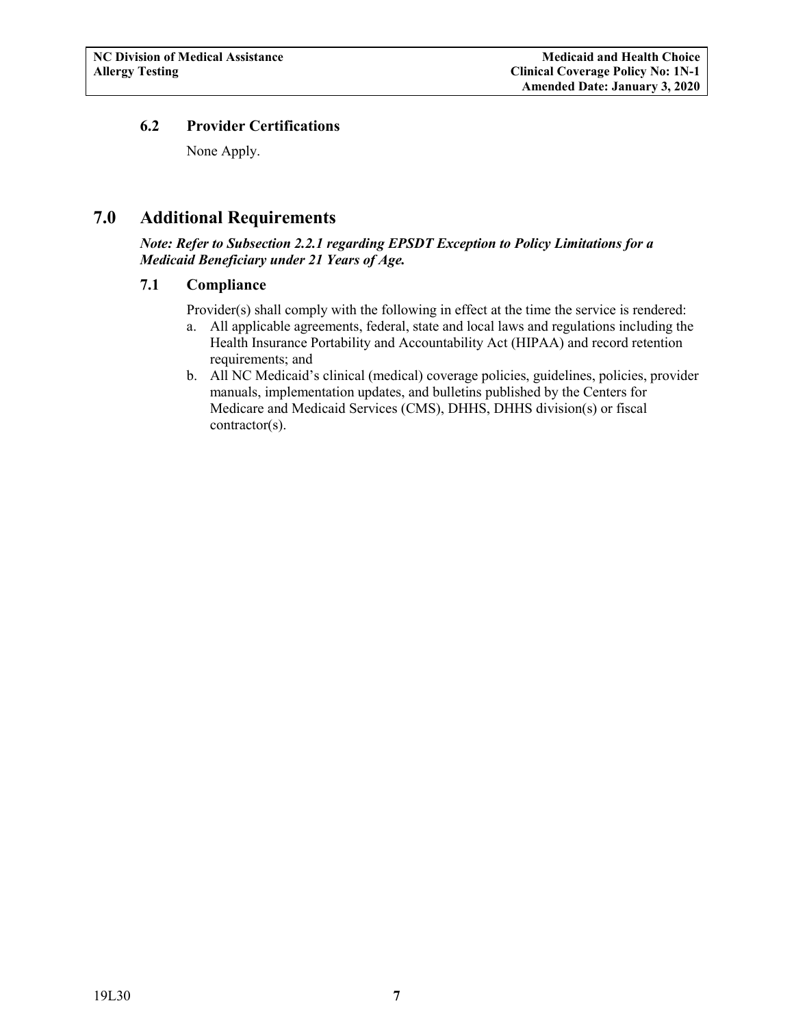## **6.2 Provider Certifications**

None Apply.

# <span id="page-8-0"></span>**7.0 Additional Requirements**

*Note: Refer to Subsection 2.2.1 regarding EPSDT Exception to Policy Limitations for a Medicaid Beneficiary under 21 Years of Age.*

## <span id="page-8-1"></span>**7.1 Compliance**

Provider(s) shall comply with the following in effect at the time the service is rendered:

- a. All applicable agreements, federal, state and local laws and regulations including the Health Insurance Portability and Accountability Act (HIPAA) and record retention requirements; and
- b. All NC Medicaid's clinical (medical) coverage policies, guidelines, policies, provider manuals, implementation updates, and bulletins published by the Centers for Medicare and Medicaid Services (CMS), DHHS, DHHS division(s) or fiscal contractor(s).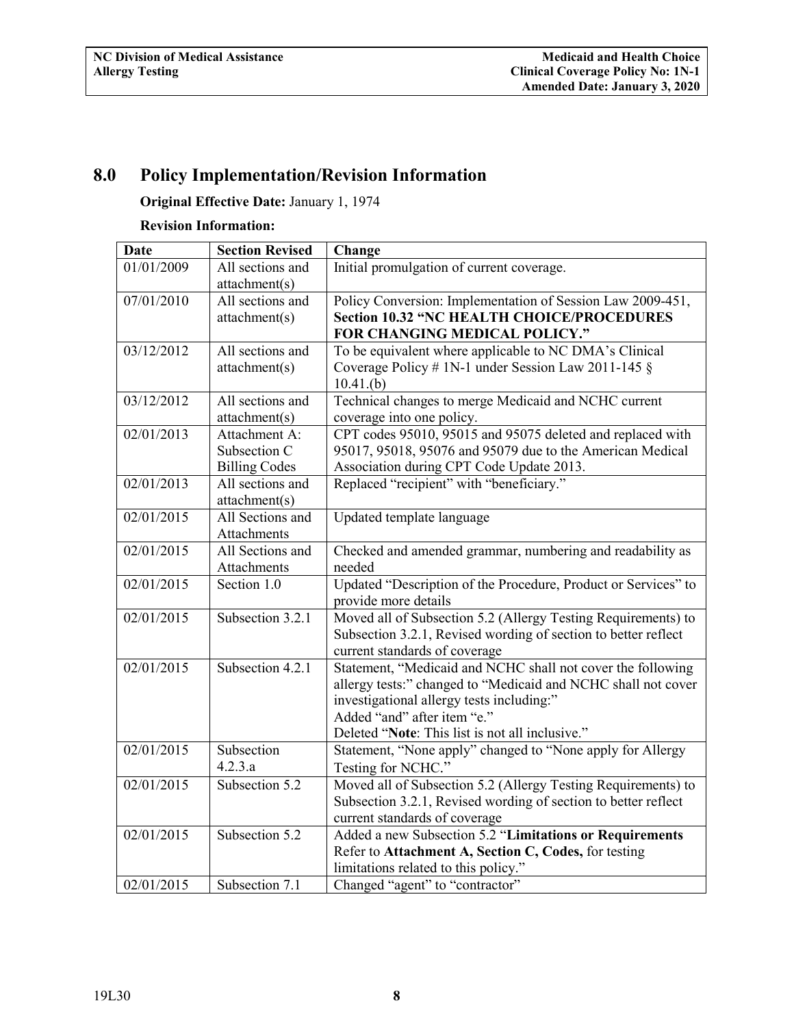# <span id="page-9-0"></span>**8.0 Policy Implementation/Revision Information**

# **Original Effective Date:** January 1, 1974

## **Revision Information:**

| <b>Date</b> | <b>Section Revised</b> | Change                                                         |
|-------------|------------------------|----------------------------------------------------------------|
| 01/01/2009  | All sections and       | Initial promulgation of current coverage.                      |
|             | attachment(s)          |                                                                |
| 07/01/2010  | All sections and       | Policy Conversion: Implementation of Session Law 2009-451,     |
|             | attachment(s)          | <b>Section 10.32 "NC HEALTH CHOICE/PROCEDURES</b>              |
|             |                        | FOR CHANGING MEDICAL POLICY."                                  |
| 03/12/2012  | All sections and       | To be equivalent where applicable to NC DMA's Clinical         |
|             | attachment(s)          | Coverage Policy # 1N-1 under Session Law 2011-145 $\S$         |
|             |                        | 10.41(b)                                                       |
| 03/12/2012  | All sections and       | Technical changes to merge Medicaid and NCHC current           |
|             | attachment(s)          | coverage into one policy.                                      |
| 02/01/2013  | Attachment A:          | CPT codes 95010, 95015 and 95075 deleted and replaced with     |
|             | Subsection C           | 95017, 95018, 95076 and 95079 due to the American Medical      |
|             | <b>Billing Codes</b>   | Association during CPT Code Update 2013.                       |
| 02/01/2013  | All sections and       | Replaced "recipient" with "beneficiary."                       |
|             | attachment(s)          |                                                                |
| 02/01/2015  | All Sections and       | Updated template language                                      |
|             | Attachments            |                                                                |
| 02/01/2015  | All Sections and       | Checked and amended grammar, numbering and readability as      |
|             | Attachments            | needed                                                         |
| 02/01/2015  | Section 1.0            | Updated "Description of the Procedure, Product or Services" to |
|             |                        | provide more details                                           |
| 02/01/2015  | Subsection 3.2.1       | Moved all of Subsection 5.2 (Allergy Testing Requirements) to  |
|             |                        | Subsection 3.2.1, Revised wording of section to better reflect |
|             |                        | current standards of coverage                                  |
| 02/01/2015  | Subsection 4.2.1       | Statement, "Medicaid and NCHC shall not cover the following    |
|             |                        | allergy tests:" changed to "Medicaid and NCHC shall not cover  |
|             |                        | investigational allergy tests including:"                      |
|             |                        | Added "and" after item "e."                                    |
|             |                        | Deleted "Note: This list is not all inclusive."                |
| 02/01/2015  | Subsection             | Statement, "None apply" changed to "None apply for Allergy     |
|             | 4.2.3.a                | Testing for NCHC."                                             |
| 02/01/2015  | Subsection 5.2         | Moved all of Subsection 5.2 (Allergy Testing Requirements) to  |
|             |                        | Subsection 3.2.1, Revised wording of section to better reflect |
|             |                        | current standards of coverage                                  |
| 02/01/2015  | Subsection 5.2         | Added a new Subsection 5.2 "Limitations or Requirements        |
|             |                        | Refer to Attachment A, Section C, Codes, for testing           |
|             |                        | limitations related to this policy."                           |
| 02/01/2015  | Subsection 7.1         | Changed "agent" to "contractor"                                |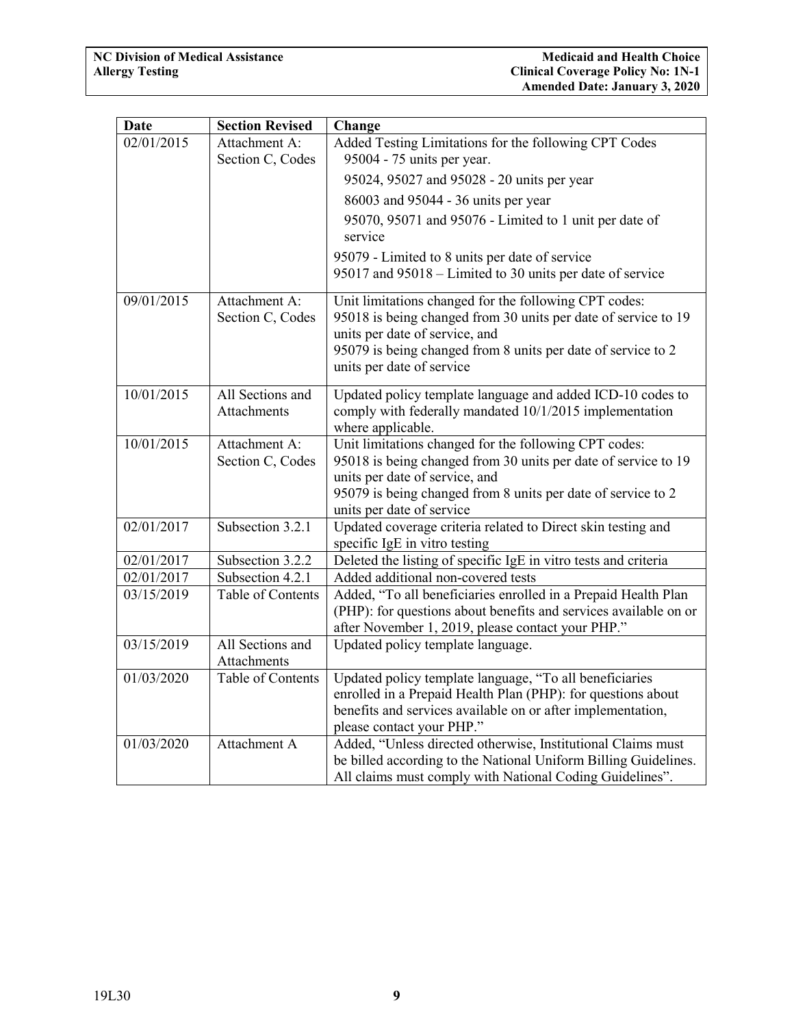| <b>Date</b> | <b>Section Revised</b>                 | Change                                                                                                                                                                                                                                                 |
|-------------|----------------------------------------|--------------------------------------------------------------------------------------------------------------------------------------------------------------------------------------------------------------------------------------------------------|
| 02/01/2015  | Attachment A:<br>Section C, Codes      | Added Testing Limitations for the following CPT Codes<br>95004 - 75 units per year.                                                                                                                                                                    |
|             |                                        | 95024, 95027 and 95028 - 20 units per year                                                                                                                                                                                                             |
|             |                                        | 86003 and 95044 - 36 units per year                                                                                                                                                                                                                    |
|             |                                        | 95070, 95071 and 95076 - Limited to 1 unit per date of<br>service                                                                                                                                                                                      |
|             |                                        | 95079 - Limited to 8 units per date of service                                                                                                                                                                                                         |
|             |                                        | 95017 and 95018 – Limited to 30 units per date of service                                                                                                                                                                                              |
| 09/01/2015  | Attachment A:<br>Section C, Codes      | Unit limitations changed for the following CPT codes:<br>95018 is being changed from 30 units per date of service to 19<br>units per date of service, and<br>95079 is being changed from 8 units per date of service to 2<br>units per date of service |
| 10/01/2015  | All Sections and<br><b>Attachments</b> | Updated policy template language and added ICD-10 codes to<br>comply with federally mandated 10/1/2015 implementation<br>where applicable.                                                                                                             |
| 10/01/2015  | Attachment A:<br>Section C, Codes      | Unit limitations changed for the following CPT codes:<br>95018 is being changed from 30 units per date of service to 19<br>units per date of service, and<br>95079 is being changed from 8 units per date of service to 2<br>units per date of service |
| 02/01/2017  | Subsection 3.2.1                       | Updated coverage criteria related to Direct skin testing and<br>specific IgE in vitro testing                                                                                                                                                          |
| 02/01/2017  | Subsection 3.2.2                       | Deleted the listing of specific IgE in vitro tests and criteria                                                                                                                                                                                        |
| 02/01/2017  | Subsection 4.2.1                       | Added additional non-covered tests                                                                                                                                                                                                                     |
| 03/15/2019  | Table of Contents                      | Added, "To all beneficiaries enrolled in a Prepaid Health Plan<br>(PHP): for questions about benefits and services available on or<br>after November 1, 2019, please contact your PHP."                                                                |
| 03/15/2019  | All Sections and<br><b>Attachments</b> | Updated policy template language.                                                                                                                                                                                                                      |
| 01/03/2020  | Table of Contents                      | Updated policy template language, "To all beneficiaries<br>enrolled in a Prepaid Health Plan (PHP): for questions about<br>benefits and services available on or after implementation,<br>please contact your PHP."                                    |
| 01/03/2020  | Attachment A                           | Added, "Unless directed otherwise, Institutional Claims must<br>be billed according to the National Uniform Billing Guidelines.<br>All claims must comply with National Coding Guidelines".                                                            |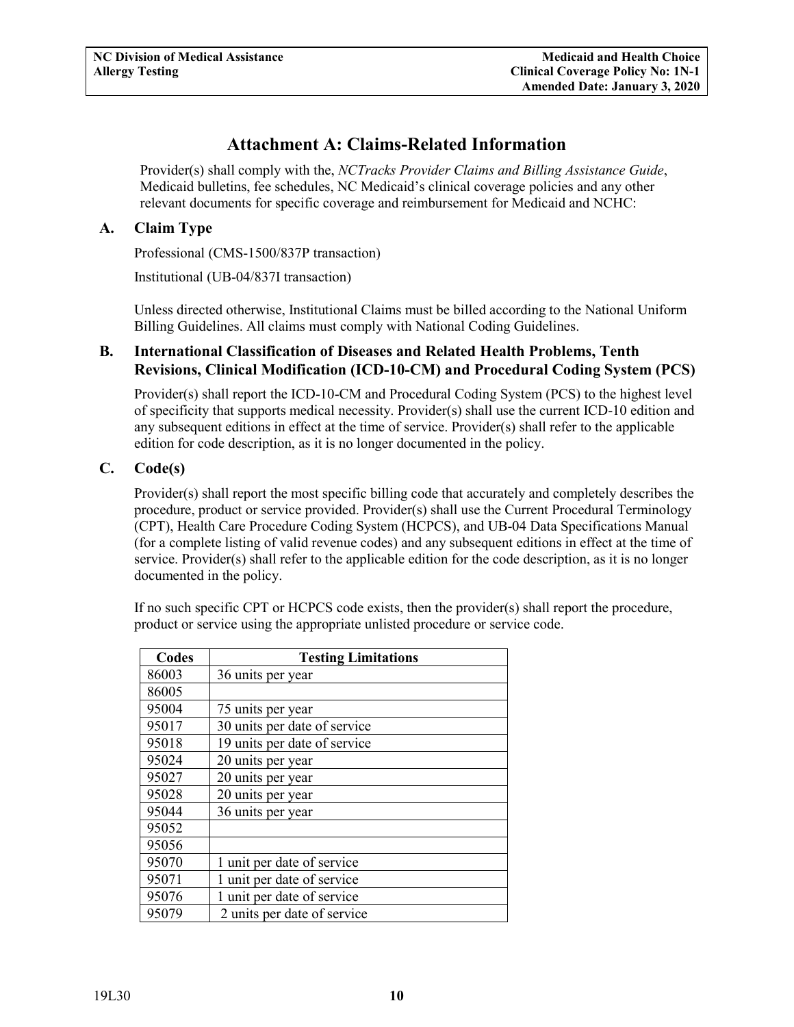# **Attachment A: Claims-Related Information**

<span id="page-11-0"></span>Provider(s) shall comply with the, *NCTracks Provider Claims and Billing Assistance Guide*, Medicaid bulletins, fee schedules, NC Medicaid's clinical coverage policies and any other relevant documents for specific coverage and reimbursement for Medicaid and NCHC:

## <span id="page-11-1"></span>**A. Claim Type**

Professional (CMS-1500/837P transaction)

Institutional (UB-04/837I transaction)

Unless directed otherwise, Institutional Claims must be billed according to the National Uniform Billing Guidelines. All claims must comply with National Coding Guidelines.

#### <span id="page-11-2"></span>**B. International Classification of Diseases and Related Health Problems, Tenth Revisions, Clinical Modification (ICD-10-CM) and Procedural Coding System (PCS)**

Provider(s) shall report the ICD-10-CM and Procedural Coding System (PCS) to the highest level of specificity that supports medical necessity. Provider(s) shall use the current ICD-10 edition and any subsequent editions in effect at the time of service. Provider(s) shall refer to the applicable edition for code description, as it is no longer documented in the policy.

#### <span id="page-11-3"></span>**C. Code(s)**

Provider(s) shall report the most specific billing code that accurately and completely describes the procedure, product or service provided. Provider(s) shall use the Current Procedural Terminology (CPT), Health Care Procedure Coding System (HCPCS), and UB-04 Data Specifications Manual (for a complete listing of valid revenue codes) and any subsequent editions in effect at the time of service. Provider(s) shall refer to the applicable edition for the code description, as it is no longer documented in the policy.

If no such specific CPT or HCPCS code exists, then the provider(s) shall report the procedure, product or service using the appropriate unlisted procedure or service code.

| Codes | <b>Testing Limitations</b>   |
|-------|------------------------------|
| 86003 | 36 units per year            |
| 86005 |                              |
| 95004 | 75 units per year            |
| 95017 | 30 units per date of service |
| 95018 | 19 units per date of service |
| 95024 | 20 units per year            |
| 95027 | 20 units per year            |
| 95028 | 20 units per year            |
| 95044 | 36 units per year            |
| 95052 |                              |
| 95056 |                              |
| 95070 | 1 unit per date of service   |
| 95071 | 1 unit per date of service   |
| 95076 | 1 unit per date of service   |
| 95079 | 2 units per date of service  |